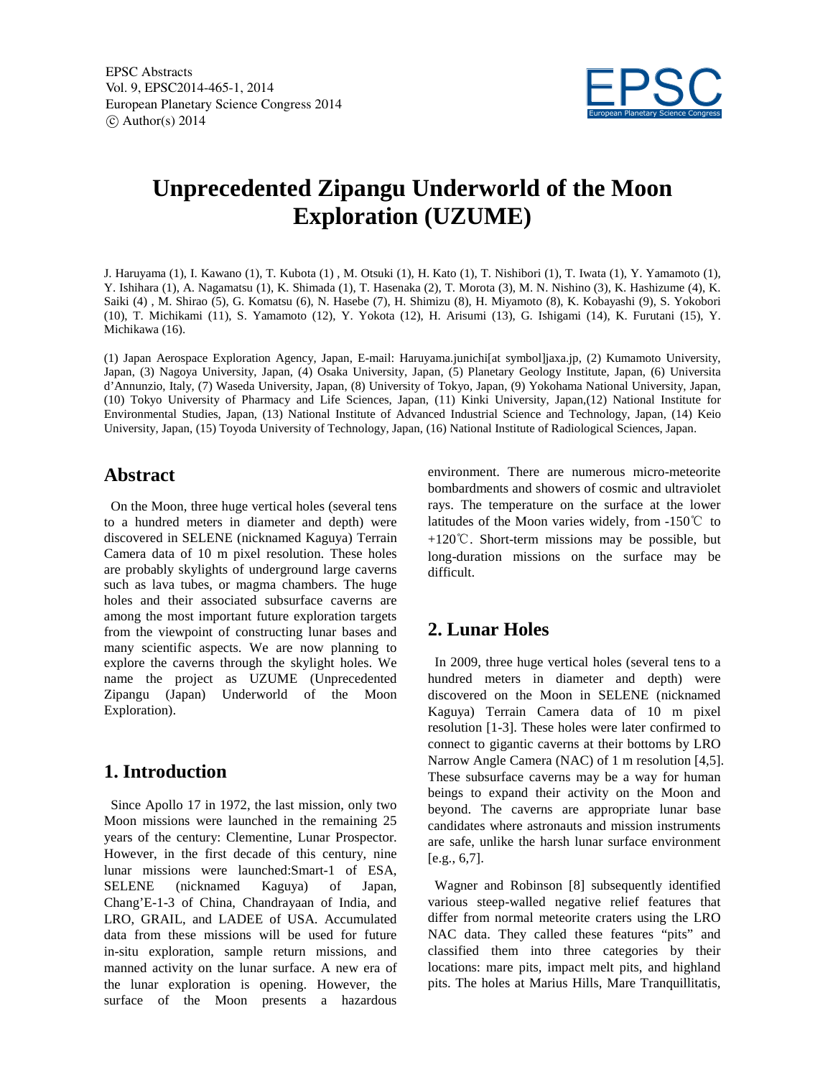EPSC Abstracts Vol. 9, EPSC2014-465-1, 2014 European Planetary Science Congress 2014  $\circ$  Author(s) 2014



# **Unprecedented Zipangu Underworld of the Moon Exploration (UZUME)**

J. Haruyama (1), I. Kawano (1), T. Kubota (1) , M. Otsuki (1), H. Kato (1), T. Nishibori (1), T. Iwata (1), Y. Yamamoto (1), Y. Ishihara (1), A. Nagamatsu (1), K. Shimada (1), T. Hasenaka (2), T. Morota (3), M. N. Nishino (3), K. Hashizume (4), K. Saiki (4) , M. Shirao (5), G. Komatsu (6), N. Hasebe (7), H. Shimizu (8), H. Miyamoto (8), K. Kobayashi (9), S. Yokobori (10), T. Michikami (11), S. Yamamoto (12), Y. Yokota (12), H. Arisumi (13), G. Ishigami (14), K. Furutani (15), Y. Michikawa (16).

(1) Japan Aerospace Exploration Agency, Japan, E-mail: Haruyama.junichi[at symbol]jaxa.jp, (2) Kumamoto University, Japan, (3) Nagoya University, Japan, (4) Osaka University, Japan, (5) Planetary Geology Institute, Japan, (6) Universita d'Annunzio, Italy, (7) Waseda University, Japan, (8) University of Tokyo, Japan, (9) Yokohama National University, Japan, (10) Tokyo University of Pharmacy and Life Sciences, Japan, (11) Kinki University, Japan,(12) National Institute for Environmental Studies, Japan, (13) National Institute of Advanced Industrial Science and Technology, Japan, (14) Keio University, Japan, (15) Toyoda University of Technology, Japan, (16) National Institute of Radiological Sciences, Japan.

#### **Abstract**

On the Moon, three huge vertical holes (several tens to a hundred meters in diameter and depth) were discovered in SELENE (nicknamed Kaguya) Terrain Camera data of 10 m pixel resolution. These holes are probably skylights of underground large caverns such as lava tubes, or magma chambers. The huge holes and their associated subsurface caverns are among the most important future exploration targets from the viewpoint of constructing lunar bases and many scientific aspects. We are now planning to explore the caverns through the skylight holes. We name the project as UZUME (Unprecedented Zipangu (Japan) Underworld of the Moon Exploration).

#### **1. Introduction**

Since Apollo 17 in 1972, the last mission, only two Moon missions were launched in the remaining 25 years of the century: Clementine, Lunar Prospector. However, in the first decade of this century, nine lunar missions were launched:Smart-1 of ESA, SELENE (nicknamed Kaguya) of Japan, Chang'E-1-3 of China, Chandrayaan of India, and LRO, GRAIL, and LADEE of USA. Accumulated data from these missions will be used for future in-situ exploration, sample return missions, and manned activity on the lunar surface. A new era of the lunar exploration is opening. However, the surface of the Moon presents a hazardous

environment. There are numerous micro-meteorite bombardments and showers of cosmic and ultraviolet rays. The temperature on the surface at the lower latitudes of the Moon varies widely, from -150℃ to +120℃. Short-term missions may be possible, but long-duration missions on the surface may be difficult.

# **2. Lunar Holes**

In 2009, three huge vertical holes (several tens to a hundred meters in diameter and depth) were discovered on the Moon in SELENE (nicknamed Kaguya) Terrain Camera data of 10 m pixel resolution [1-3]. These holes were later confirmed to connect to gigantic caverns at their bottoms by LRO Narrow Angle Camera (NAC) of 1 m resolution [4,5]. These subsurface caverns may be a way for human beings to expand their activity on the Moon and beyond. The caverns are appropriate lunar base candidates where astronauts and mission instruments are safe, unlike the harsh lunar surface environment [e.g., 6,7].

Wagner and Robinson [8] subsequently identified various steep-walled negative relief features that differ from normal meteorite craters using the LRO NAC data. They called these features "pits" and classified them into three categories by their locations: mare pits, impact melt pits, and highland pits. The holes at Marius Hills, Mare Tranquillitatis,